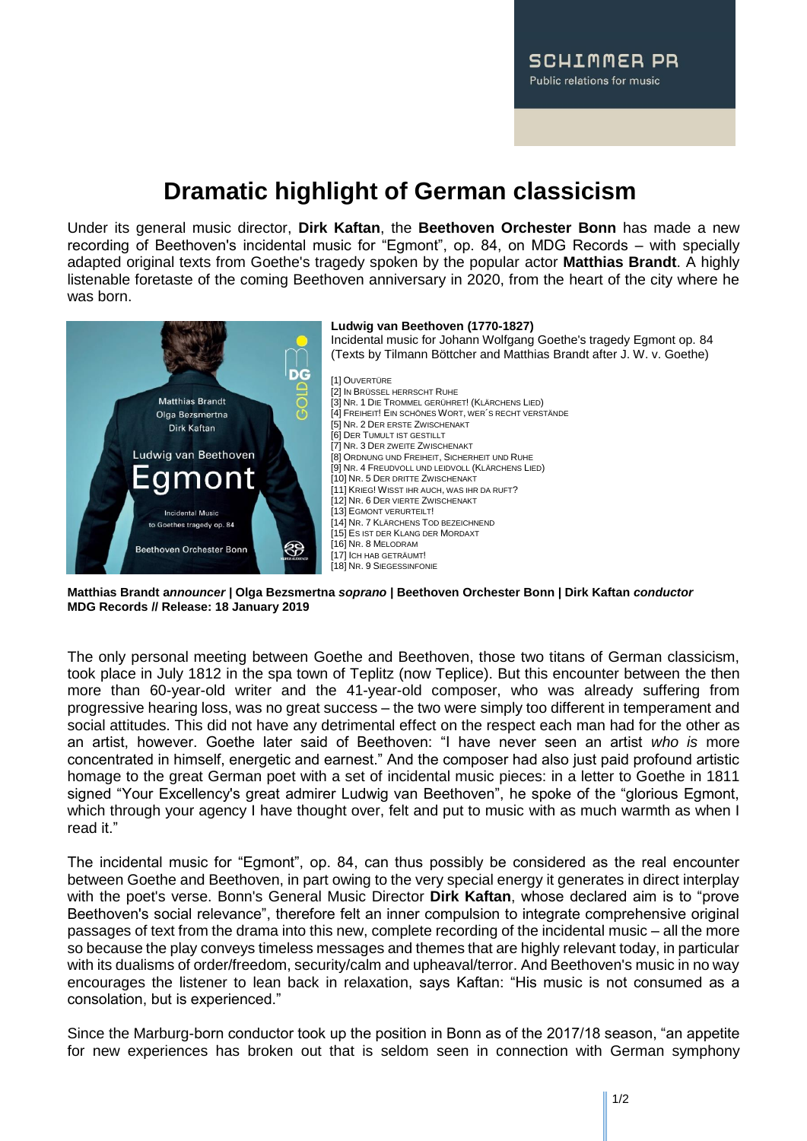## **Dramatic highlight of German classicism**

Under its general music director, **Dirk Kaftan**, the **Beethoven Orchester Bonn** has made a new recording of Beethoven's incidental music for "Egmont", op. 84, on MDG Records – with specially adapted original texts from Goethe's tragedy spoken by the popular actor **Matthias Brandt**. A highly listenable foretaste of the coming Beethoven anniversary in 2020, from the heart of the city where he was born.



**Matthias Brandt a***nnouncer |* **Olga Bezsmertna** *soprano |* **Beethoven Orchester Bonn | Dirk Kaftan** *conductor* **MDG Records // Release: 18 January 2019**

The only personal meeting between Goethe and Beethoven, those two titans of German classicism, took place in July 1812 in the spa town of Teplitz (now Teplice). But this encounter between the then more than 60-year-old writer and the 41-year-old composer, who was already suffering from progressive hearing loss, was no great success – the two were simply too different in temperament and social attitudes. This did not have any detrimental effect on the respect each man had for the other as an artist, however. Goethe later said of Beethoven: "I have never seen an artist *who is* more concentrated in himself, energetic and earnest." And the composer had also just paid profound artistic homage to the great German poet with a set of incidental music pieces: in a letter to Goethe in 1811 signed "Your Excellency's great admirer Ludwig van Beethoven", he spoke of the "glorious Egmont, which through your agency I have thought over, felt and put to music with as much warmth as when I read it."

The incidental music for "Egmont", op. 84, can thus possibly be considered as the real encounter between Goethe and Beethoven, in part owing to the very special energy it generates in direct interplay with the poet's verse. Bonn's General Music Director **Dirk Kaftan**, whose declared aim is to "prove Beethoven's social relevance", therefore felt an inner compulsion to integrate comprehensive original passages of text from the drama into this new, complete recording of the incidental music – all the more so because the play conveys timeless messages and themes that are highly relevant today, in particular with its dualisms of order/freedom, security/calm and upheaval/terror. And Beethoven's music in no way encourages the listener to lean back in relaxation, says Kaftan: "His music is not consumed as a consolation, but is experienced."

Since the Marburg-born conductor took up the position in Bonn as of the 2017/18 season, "an appetite for new experiences has broken out that is seldom seen in connection with German symphony